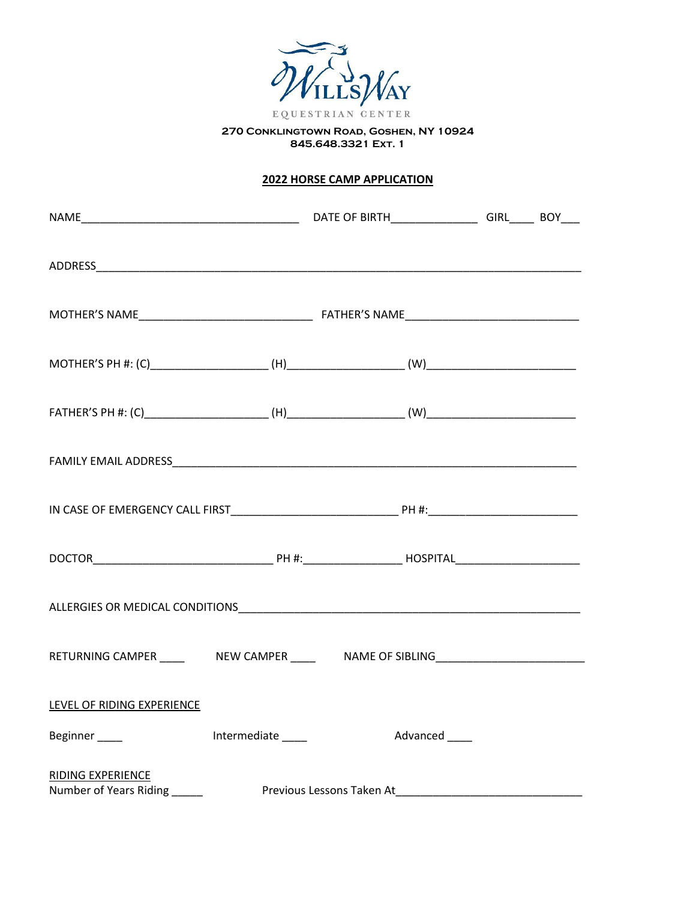

**270 Conklingtown Road, Goshen, NY 10924 845.648.3321 Ext. 1**

# **2022 HORSE CAMP APPLICATION**

| RETURNING CAMPER ______  NEW CAMPER ______  NAME OF SIBLING_____________________ |                   |               |  |
|----------------------------------------------------------------------------------|-------------------|---------------|--|
| LEVEL OF RIDING EXPERIENCE                                                       |                   |               |  |
| Beginner____                                                                     | Intermediate ____ | Advanced ____ |  |
| <b>RIDING EXPERIENCE</b>                                                         |                   |               |  |